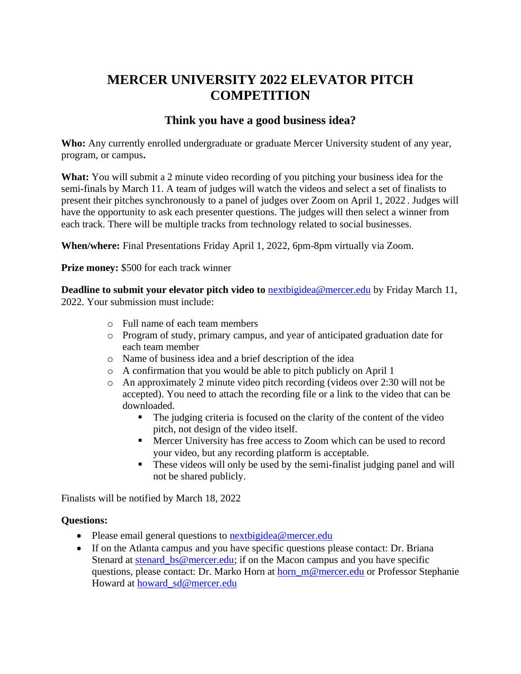# **MERCER UNIVERSITY 2022 ELEVATOR PITCH COMPETITION**

## **Think you have a good business idea?**

**Who:** Any currently enrolled undergraduate or graduate Mercer University student of any year, program, or campus**.** 

**What:** You will submit a 2 minute video recording of you pitching your business idea for the semi-finals by March 11. A team of judges will watch the videos and select a set of finalists to present their pitches synchronously to a panel of judges over Zoom on April 1, 2022 . Judges will have the opportunity to ask each presenter questions. The judges will then select a winner from each track. There will be multiple tracks from technology related to social businesses.

**When/where:** Final Presentations Friday April 1, 2022, 6pm-8pm virtually via Zoom.

**Prize money:** \$500 for each track winner

**Deadline to submit your elevator pitch video to [nextbigidea@mercer.edu](about:blank) by Friday March 11,** 2022. Your submission must include:

- o Full name of each team members
- o Program of study, primary campus, and year of anticipated graduation date for each team member
- o Name of business idea and a brief description of the idea
- o A confirmation that you would be able to pitch publicly on April 1
- o An approximately 2 minute video pitch recording (videos over 2:30 will not be accepted). You need to attach the recording file or a link to the video that can be downloaded.
	- The judging criteria is focused on the clarity of the content of the video pitch, not design of the video itself.
	- Mercer University has free access to Zoom which can be used to record your video, but any recording platform is acceptable.
	- **•** These videos will only be used by the semi-finalist judging panel and will not be shared publicly.

Finalists will be notified by March 18, 2022

#### **Questions:**

- Please email general questions to next bigidea@mercer.edu
- If on the Atlanta campus and you have specific questions please contact: Dr. Briana Stenard at stenard bs@mercer.edu; if on the Macon campus and you have specific questions, please contact: Dr. Marko Horn at horn m@mercer.edu or Professor Stephanie Howard at howard sd@mercer.edu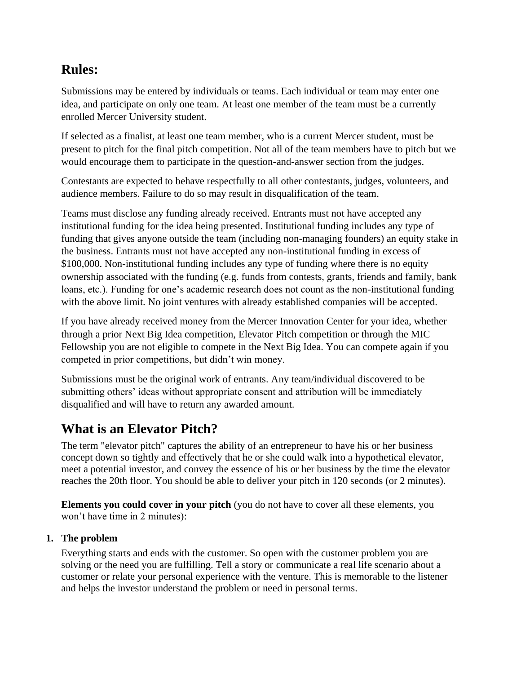# **Rules:**

Submissions may be entered by individuals or teams. Each individual or team may enter one idea, and participate on only one team. At least one member of the team must be a currently enrolled Mercer University student.

If selected as a finalist, at least one team member, who is a current Mercer student, must be present to pitch for the final pitch competition. Not all of the team members have to pitch but we would encourage them to participate in the question-and-answer section from the judges.

Contestants are expected to behave respectfully to all other contestants, judges, volunteers, and audience members. Failure to do so may result in disqualification of the team.

Teams must disclose any funding already received. Entrants must not have accepted any institutional funding for the idea being presented. Institutional funding includes any type of funding that gives anyone outside the team (including non-managing founders) an equity stake in the business. Entrants must not have accepted any non-institutional funding in excess of \$100,000. Non-institutional funding includes any type of funding where there is no equity ownership associated with the funding (e.g. funds from contests, grants, friends and family, bank loans, etc.). Funding for one's academic research does not count as the non-institutional funding with the above limit. No joint ventures with already established companies will be accepted.

If you have already received money from the Mercer Innovation Center for your idea, whether through a prior Next Big Idea competition, Elevator Pitch competition or through the MIC Fellowship you are not eligible to compete in the Next Big Idea. You can compete again if you competed in prior competitions, but didn't win money.

Submissions must be the original work of entrants. Any team/individual discovered to be submitting others' ideas without appropriate consent and attribution will be immediately disqualified and will have to return any awarded amount.

# **What is an Elevator Pitch?**

The term "elevator pitch" captures the ability of an entrepreneur to have his or her business concept down so tightly and effectively that he or she could walk into a hypothetical elevator, meet a potential investor, and convey the essence of his or her business by the time the elevator reaches the 20th floor. You should be able to deliver your pitch in 120 seconds (or 2 minutes).

**Elements you could cover in your pitch** (you do not have to cover all these elements, you won't have time in 2 minutes):

## **1. The problem**

Everything starts and ends with the customer. So open with the customer problem you are solving or the need you are fulfilling. Tell a story or communicate a real life scenario about a customer or relate your personal experience with the venture. This is memorable to the listener and helps the investor understand the problem or need in personal terms.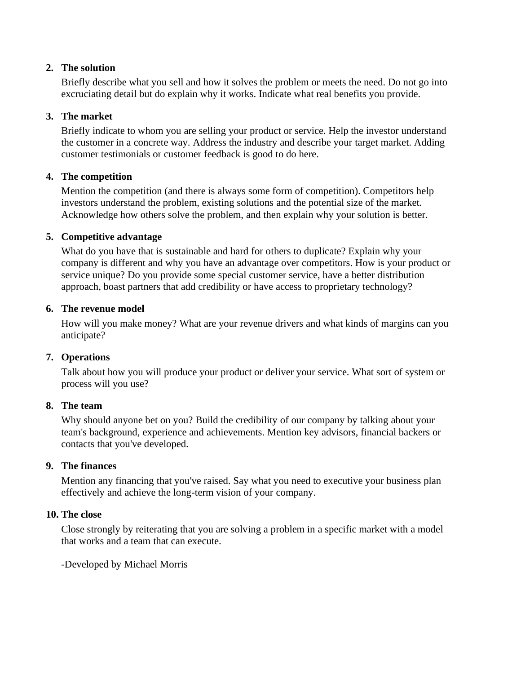#### **2. The solution**

Briefly describe what you sell and how it solves the problem or meets the need. Do not go into excruciating detail but do explain why it works. Indicate what real benefits you provide.

### **3. The market**

Briefly indicate to whom you are selling your product or service. Help the investor understand the customer in a concrete way. Address the industry and describe your target market. Adding customer testimonials or customer feedback is good to do here.

## **4. The competition**

Mention the competition (and there is always some form of competition). Competitors help investors understand the problem, existing solutions and the potential size of the market. Acknowledge how others solve the problem, and then explain why your solution is better.

## **5. Competitive advantage**

What do you have that is sustainable and hard for others to duplicate? Explain why your company is different and why you have an advantage over competitors. How is your product or service unique? Do you provide some special customer service, have a better distribution approach, boast partners that add credibility or have access to proprietary technology?

#### **6. The revenue model**

How will you make money? What are your revenue drivers and what kinds of margins can you anticipate?

## **7. Operations**

Talk about how you will produce your product or deliver your service. What sort of system or process will you use?

#### **8. The team**

Why should anyone bet on you? Build the credibility of our company by talking about your team's background, experience and achievements. Mention key advisors, financial backers or contacts that you've developed.

#### **9. The finances**

Mention any financing that you've raised. Say what you need to executive your business plan effectively and achieve the long-term vision of your company.

#### **10. The close**

Close strongly by reiterating that you are solving a problem in a specific market with a model that works and a team that can execute.

-Developed by Michael Morris